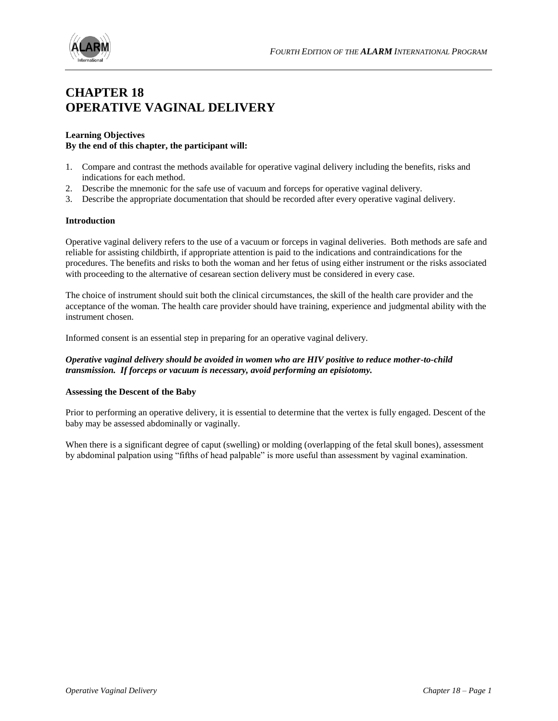

## **CHAPTER 18 OPERATIVE VAGINAL DELIVERY**

#### **Learning Objectives By the end of this chapter, the participant will:**

- 1. Compare and contrast the methods available for operative vaginal delivery including the benefits, risks and indications for each method.
- 2. Describe the mnemonic for the safe use of vacuum and forceps for operative vaginal delivery.
- 3. Describe the appropriate documentation that should be recorded after every operative vaginal delivery.

#### **Introduction**

Operative vaginal delivery refers to the use of a vacuum or forceps in vaginal deliveries. Both methods are safe and reliable for assisting childbirth, if appropriate attention is paid to the indications and contraindications for the procedures. The benefits and risks to both the woman and her fetus of using either instrument or the risks associated with proceeding to the alternative of cesarean section delivery must be considered in every case.

The choice of instrument should suit both the clinical circumstances, the skill of the health care provider and the acceptance of the woman. The health care provider should have training, experience and judgmental ability with the instrument chosen.

Informed consent is an essential step in preparing for an operative vaginal delivery.

## *Operative vaginal delivery should be avoided in women who are HIV positive to reduce mother-to-child transmission. If forceps or vacuum is necessary, avoid performing an episiotomy.*

#### **Assessing the Descent of the Baby**

Prior to performing an operative delivery, it is essential to determine that the vertex is fully engaged. Descent of the baby may be assessed abdominally or vaginally.

When there is a significant degree of caput (swelling) or molding (overlapping of the fetal skull bones), assessment by abdominal palpation using "fifths of head palpable" is more useful than assessment by vaginal examination.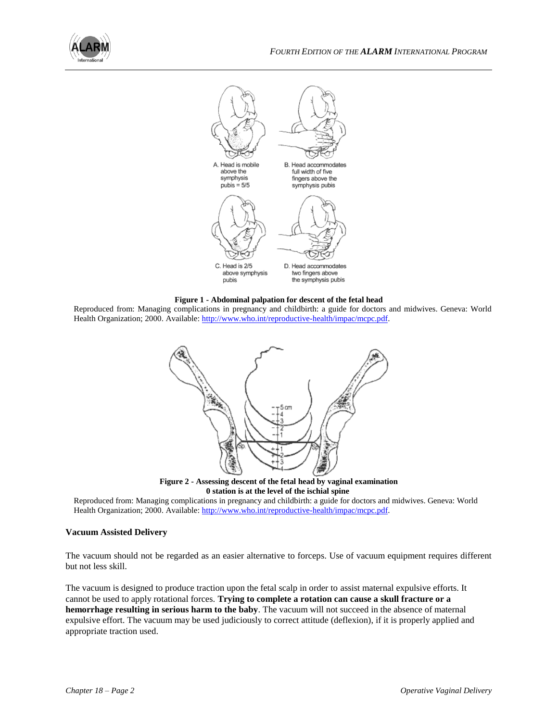



**Figure 1 - Abdominal palpation for descent of the fetal head**

Reproduced from: Managing complications in pregnancy and childbirth: a guide for doctors and midwives. Geneva: World Health Organization; 2000. Available[: http://www.who.int/reproductive-health/impac/mcpc.pdf.](http://www.who.int/reproductive-health/impac/mcpc.pdf)



**Figure 2 - Assessing descent of the fetal head by vaginal examination 0 station is at the level of the ischial spine**

Reproduced from: Managing complications in pregnancy and childbirth: a guide for doctors and midwives. Geneva: World Health Organization; 2000. Available[: http://www.who.int/reproductive-health/impac/mcpc.pdf.](http://www.who.int/reproductive-health/impac/mcpc.pdf)

## **Vacuum Assisted Delivery**

The vacuum should not be regarded as an easier alternative to forceps. Use of vacuum equipment requires different but not less skill.

The vacuum is designed to produce traction upon the fetal scalp in order to assist maternal expulsive efforts. It cannot be used to apply rotational forces. **Trying to complete a rotation can cause a skull fracture or a hemorrhage resulting in serious harm to the baby**. The vacuum will not succeed in the absence of maternal expulsive effort. The vacuum may be used judiciously to correct attitude (deflexion), if it is properly applied and appropriate traction used.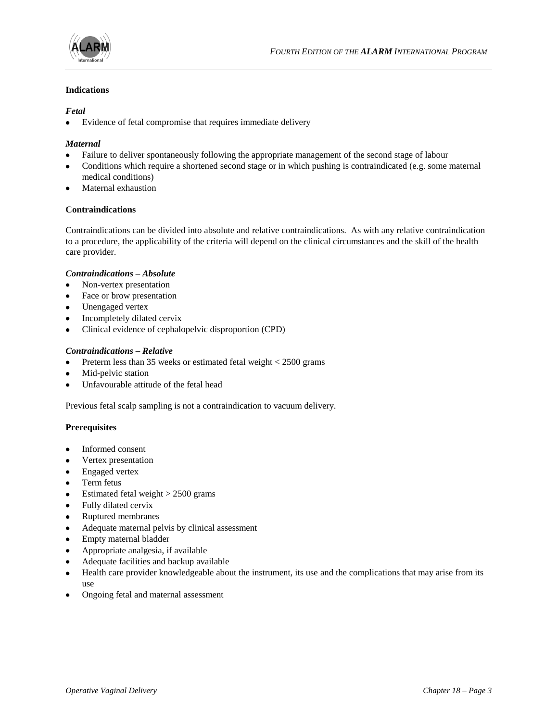

## **Indications**

## *Fetal*

 $\bullet$ Evidence of fetal compromise that requires immediate delivery

## *Maternal*

- Failure to deliver spontaneously following the appropriate management of the second stage of labour
- Conditions which require a shortened second stage or in which pushing is contraindicated (e.g. some maternal medical conditions)
- Maternal exhaustion

#### **Contraindications**

Contraindications can be divided into absolute and relative contraindications. As with any relative contraindication to a procedure, the applicability of the criteria will depend on the clinical circumstances and the skill of the health care provider.

#### *Contraindications – Absolute*

- Non-vertex presentation  $\bullet$
- Face or brow presentation
- Unengaged vertex  $\bullet$
- Incompletely dilated cervix  $\bullet$
- Clinical evidence of cephalopelvic disproportion (CPD)

#### *Contraindications – Relative*

- Preterm less than 35 weeks or estimated fetal weight < 2500 grams  $\bullet$
- Mid-pelvic station  $\bullet$
- Unfavourable attitude of the fetal head

Previous fetal scalp sampling is not a contraindication to vacuum delivery.

#### **Prerequisites**

- $\bullet$ Informed consent
- Vertex presentation
- Engaged vertex  $\bullet$
- Term fetus
- $\bullet$  Estimated fetal weight  $> 2500$  grams
- Fully dilated cervix  $\bullet$
- Ruptured membranes
- Adequate maternal pelvis by clinical assessment  $\bullet$
- $\bullet$ Empty maternal bladder
- Appropriate analgesia, if available
- Adequate facilities and backup available
- Health care provider knowledgeable about the instrument, its use and the complications that may arise from its  $\bullet$ use
- Ongoing fetal and maternal assessment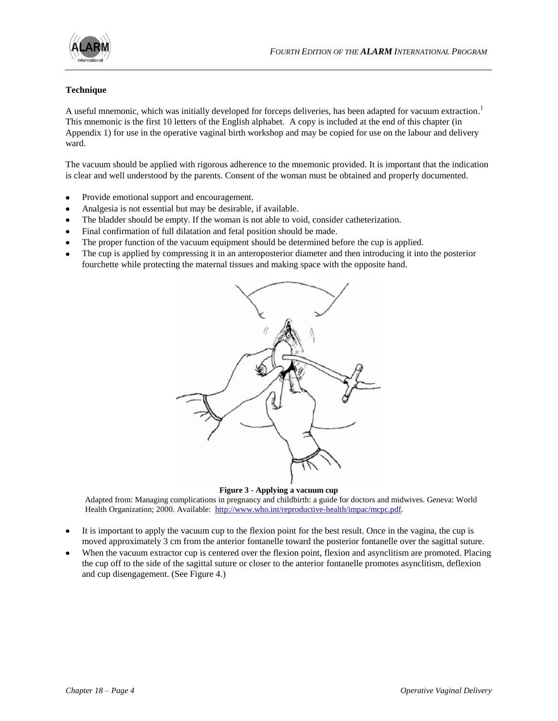

## **Technique**

A useful mnemonic, which was initially developed for forceps deliveries, has been adapted for vacuum extraction.<sup>1</sup> This mnemonic is the first 10 letters of the English alphabet. A copy is included at the end of this chapter (in Appendix 1) for use in the operative vaginal birth workshop and may be copied for use on the labour and delivery ward.

The vacuum should be applied with rigorous adherence to the mnemonic provided. It is important that the indication is clear and well understood by the parents. Consent of the woman must be obtained and properly documented.

- Provide emotional support and encouragement.
- Analgesia is not essential but may be desirable, if available.
- The bladder should be empty. If the woman is not able to void, consider catheterization.  $\bullet$
- Final confirmation of full dilatation and fetal position should be made.
- The proper function of the vacuum equipment should be determined before the cup is applied.
- The cup is applied by compressing it in an anteroposterior diameter and then introducing it into the posterior fourchette while protecting the maternal tissues and making space with the opposite hand.



#### **Figure 3 - Applying a vacuum cup**

Adapted from: Managing complications in pregnancy and childbirth: a guide for doctors and midwives. Geneva: World Health Organization; 2000. Available: [http://www.who.int/reproductive-health/impac/mcpc.pdf.](http://www.who.int/reproductive-health/impac/mcpc.pdf)

- It is important to apply the vacuum cup to the flexion point for the best result. Once in the vagina, the cup is moved approximately 3 cm from the anterior fontanelle toward the posterior fontanelle over the sagittal suture.
- When the vacuum extractor cup is centered over the flexion point, flexion and asynclitism are promoted. Placing the cup off to the side of the sagittal suture or closer to the anterior fontanelle promotes asynclitism, deflexion and cup disengagement. (See Figure 4.)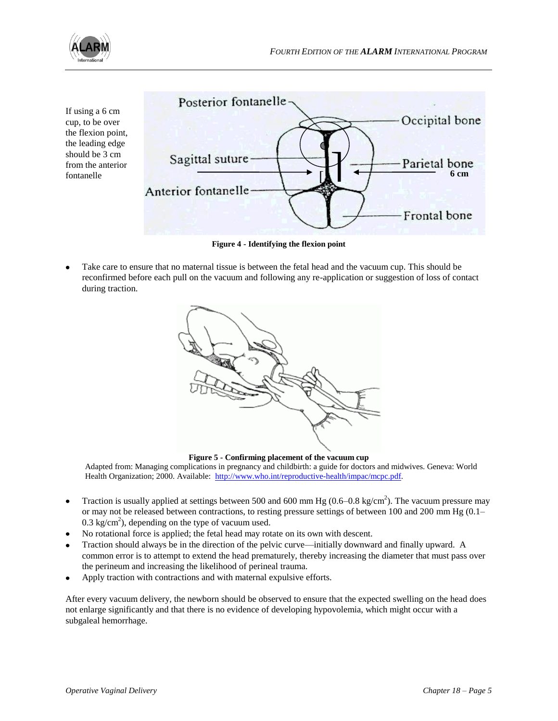

If using a 6 cm cup, to be over the flexion point, the leading edge should be 3 cm from the anterior fontanelle



**Figure 4 - Identifying the flexion point**

Take care to ensure that no maternal tissue is between the fetal head and the vacuum cup. This should be reconfirmed before each pull on the vacuum and following any re-application or suggestion of loss of contact during traction.



**Figure 5 - Confirming placement of the vacuum cup**

Adapted from: Managing complications in pregnancy and childbirth: a guide for doctors and midwives. Geneva: World Health Organization; 2000. Available: [http://www.who.int/reproductive-health/impac/mcpc.pdf.](http://www.who.int/reproductive-health/impac/mcpc.pdf)

- Traction is usually applied at settings between 500 and 600 mm Hg (0.6–0.8 kg/cm<sup>2</sup>). The vacuum pressure may  $\bullet$ or may not be released between contractions, to resting pressure settings of between 100 and 200 mm Hg (0.1–  $0.3 \text{ kg/cm}^2$ ), depending on the type of vacuum used.
- No rotational force is applied; the fetal head may rotate on its own with descent.
- Traction should always be in the direction of the pelvic curve—initially downward and finally upward. A common error is to attempt to extend the head prematurely, thereby increasing the diameter that must pass over the perineum and increasing the likelihood of perineal trauma.
- Apply traction with contractions and with maternal expulsive efforts.

After every vacuum delivery, the newborn should be observed to ensure that the expected swelling on the head does not enlarge significantly and that there is no evidence of developing hypovolemia, which might occur with a subgaleal hemorrhage.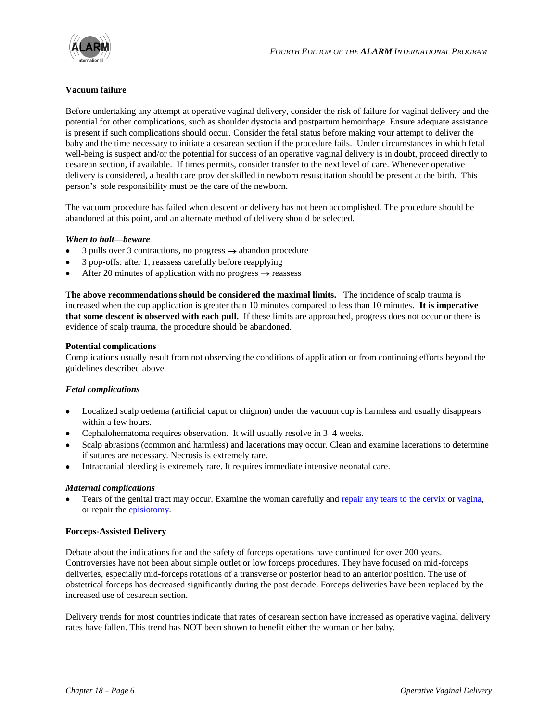

## **Vacuum failure**

Before undertaking any attempt at operative vaginal delivery, consider the risk of failure for vaginal delivery and the potential for other complications, such as shoulder dystocia and postpartum hemorrhage. Ensure adequate assistance is present if such complications should occur. Consider the fetal status before making your attempt to deliver the baby and the time necessary to initiate a cesarean section if the procedure fails. Under circumstances in which fetal well-being is suspect and/or the potential for success of an operative vaginal delivery is in doubt, proceed directly to cesarean section, if available. If times permits, consider transfer to the next level of care. Whenever operative delivery is considered, a health care provider skilled in newborn resuscitation should be present at the birth. This person's sole responsibility must be the care of the newborn.

The vacuum procedure has failed when descent or delivery has not been accomplished. The procedure should be abandoned at this point, and an alternate method of delivery should be selected.

#### *When to halt—beware*

- 3 pulls over 3 contractions, no progress  $\rightarrow$  abandon procedure
- 3 pop-offs: after 1, reassess carefully before reapplying
- After 20 minutes of application with no progress  $\rightarrow$  reassess

**The above recommendations should be considered the maximal limits.** The incidence of scalp trauma is increased when the cup application is greater than 10 minutes compared to less than 10 minutes. **It is imperative that some descent is observed with each pull.** If these limits are approached, progress does not occur or there is evidence of scalp trauma, the procedure should be abandoned.

#### **Potential complications**

Complications usually result from not observing the conditions of application or from continuing efforts beyond the guidelines described above.

#### *Fetal complications*

- Localized scalp oedema (artificial caput or chignon) under the vacuum cup is harmless and usually disappears within a few hours.
- Cephalohematoma requires observation. It will usually resolve in 3–4 weeks.
- Scalp abrasions (common and harmless) and lacerations may occur. Clean and examine lacerations to determine if sutures are necessary. Necrosis is extremely rare.
- Intracranial bleeding is extremely rare. It requires immediate intensive neonatal care.

#### *Maternal complications*

Tears of the genital tract may occur. Examine the woman carefully and [repair any tears to the cervix](http://www.who.int/reproductive-health/impac/Procedures/Repair_cervical_P81.html) or [vagina,](http://www.who.int/reproductive-health/impac/Procedures/Repair_vaginal_P83_P90.html) or repair the [episiotomy.](http://www.who.int/reproductive-health/impac/Procedures/Episiotomy_P71_P75.html#P73 repair episiotomy)

#### **Forceps-Assisted Delivery**

Debate about the indications for and the safety of forceps operations have continued for over 200 years. Controversies have not been about simple outlet or low forceps procedures. They have focused on mid-forceps deliveries, especially mid-forceps rotations of a transverse or posterior head to an anterior position. The use of obstetrical forceps has decreased significantly during the past decade. Forceps deliveries have been replaced by the increased use of cesarean section.

Delivery trends for most countries indicate that rates of cesarean section have increased as operative vaginal delivery rates have fallen. This trend has NOT been shown to benefit either the woman or her baby.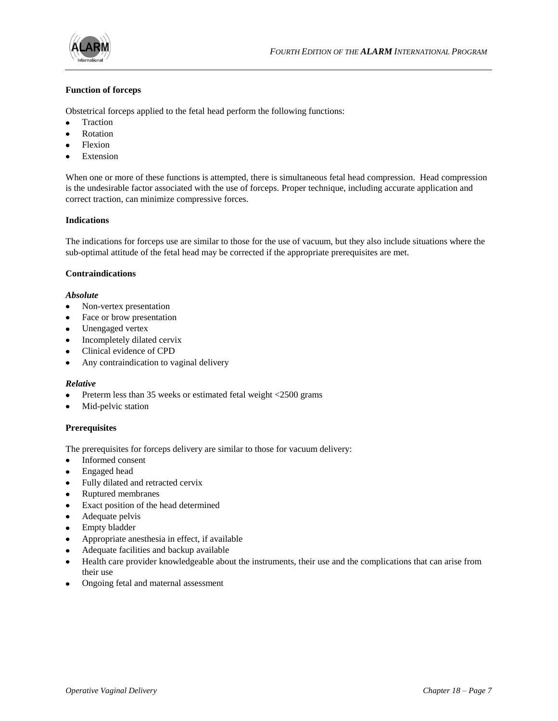

## **Function of forceps**

Obstetrical forceps applied to the fetal head perform the following functions:

- $\bullet$ Traction
- Rotation
- Flexion
- Extension

When one or more of these functions is attempted, there is simultaneous fetal head compression. Head compression is the undesirable factor associated with the use of forceps. Proper technique, including accurate application and correct traction, can minimize compressive forces.

#### **Indications**

The indications for forceps use are similar to those for the use of vacuum, but they also include situations where the sub-optimal attitude of the fetal head may be corrected if the appropriate prerequisites are met.

#### **Contraindications**

#### *Absolute*

- Non-vertex presentation  $\bullet$
- $\bullet$ Face or brow presentation
- $\bullet$ Unengaged vertex
- Incompletely dilated cervix  $\bullet$
- Clinical evidence of CPD
- Any contraindication to vaginal delivery  $\bullet$

#### *Relative*

- Preterm less than 35 weeks or estimated fetal weight <2500 grams
- Mid-pelvic station

## **Prerequisites**

The prerequisites for forceps delivery are similar to those for vacuum delivery:

- Informed consent  $\bullet$
- Engaged head
- Fully dilated and retracted cervix
- $\bullet$ Ruptured membranes
- Exact position of the head determined  $\bullet$
- Adequate pelvis  $\bullet$
- Empty bladder
- Appropriate anesthesia in effect, if available
- Adequate facilities and backup available
- Health care provider knowledgeable about the instruments, their use and the complications that can arise from  $\bullet$ their use
- $\bullet$ Ongoing fetal and maternal assessment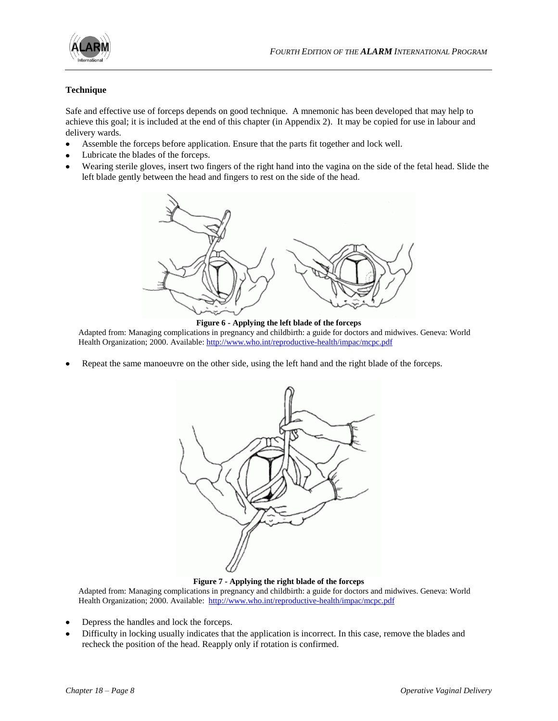

## **Technique**

Safe and effective use of forceps depends on good technique. A mnemonic has been developed that may help to achieve this goal; it is included at the end of this chapter (in Appendix 2). It may be copied for use in labour and delivery wards.

- Assemble the forceps before application. Ensure that the parts fit together and lock well.
- Lubricate the blades of the forceps.
- Wearing sterile gloves, insert two fingers of the right hand into the vagina on the side of the fetal head. Slide the left blade gently between the head and fingers to rest on the side of the head.



**Figure 6 - Applying the left blade of the forceps** Adapted from: Managing complications in pregnancy and childbirth: a guide for doctors and midwives. Geneva: World Health Organization; 2000. Available[: http://www.who.int/reproductive-health/impac/mcpc.pdf](http://www.who.int/reproductive-health/impac/mcpc.pdf)

Repeat the same manoeuvre on the other side, using the left hand and the right blade of the forceps.



**Figure 7 - Applying the right blade of the forceps**

Adapted from: Managing complications in pregnancy and childbirth: a guide for doctors and midwives. Geneva: World Health Organization; 2000. Available: <http://www.who.int/reproductive-health/impac/mcpc.pdf>

- Depress the handles and lock the forceps.
- Difficulty in locking usually indicates that the application is incorrect. In this case, remove the blades and recheck the position of the head. Reapply only if rotation is confirmed.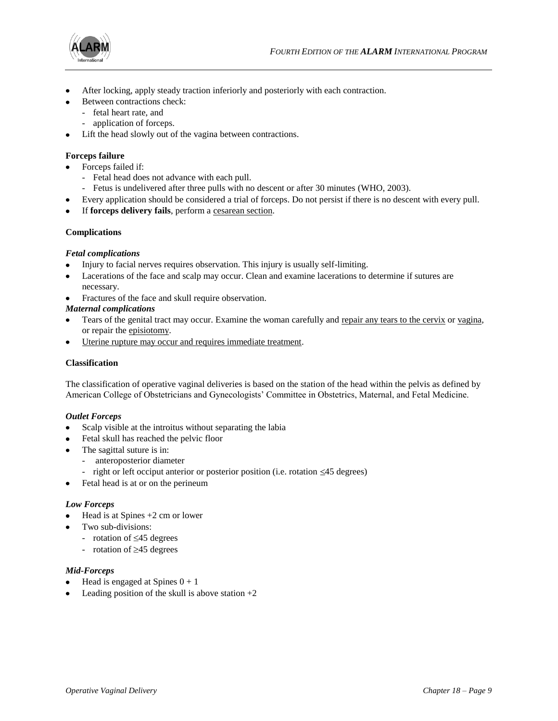

- After locking, apply steady traction inferiorly and posteriorly with each contraction.
- Between contractions check:
- fetal heart rate, and
	- application of forceps.
- Lift the head slowly out of the vagina between contractions.

## **Forceps failure**

- Forceps failed if:
	- Fetal head does not advance with each pull.
	- Fetus is undelivered after three pulls with no descent or after 30 minutes (WHO, 2003).
- Every application should be considered a trial of forceps. Do not persist if there is no descent with every pull.
- If **forceps delivery fails**, perform a [cesarean section.](http://www.who.int/reproductive-health/impac/Procedures/Caesarean_section_P43_P52.html)

## **Complications**

## *Fetal complications*

- Injury to facial nerves requires observation. This injury is usually self-limiting.  $\bullet$
- Lacerations of the face and scalp may occur. Clean and examine lacerations to determine if sutures are necessary.
- Fractures of the face and skull require observation.

## *Maternal complications*

- Tears of the genital tract may occur. Examine the woman carefully and [repair any tears to the cervix](http://www.who.int/reproductive-health/impac/Procedures/Repair_cervical_P81.html) or [vagina,](http://www.who.int/reproductive-health/impac/Procedures/Repair_vaginal_P83_P90.html) or repair the [episiotomy.](http://www.who.int/reproductive-health/impac/Procedures/Episiotomy_P71_P75.html)
- [Uterine rupture may occur and requires immediate treatment.](http://www.who.int/reproductive-health/impac/Procedures/Repair_uterus_P95_P98.html)

## **Classification**

The classification of operative vaginal deliveries is based on the station of the head within the pelvis as defined by American College of Obstetricians and Gynecologists' Committee in Obstetrics, Maternal, and Fetal Medicine.

## *Outlet Forceps*

- Scalp visible at the introitus without separating the labia
- Fetal skull has reached the pelvic floor
- The sagittal suture is in:
	- anteroposterior diameter
	- right or left occiput anterior or posterior position (i.e. rotation  $\leq 45$  degrees)
- Fetal head is at or on the perineum

## *Low Forceps*

- Head is at Spines +2 cm or lower  $\bullet$
- Two sub-divisions:
	- rotation of  $\leq 45$  degrees
		- rotation of  $\geq$ 45 degrees

## *Mid-Forceps*

- Head is engaged at Spines  $0 + 1$
- Leading position of the skull is above station  $+2$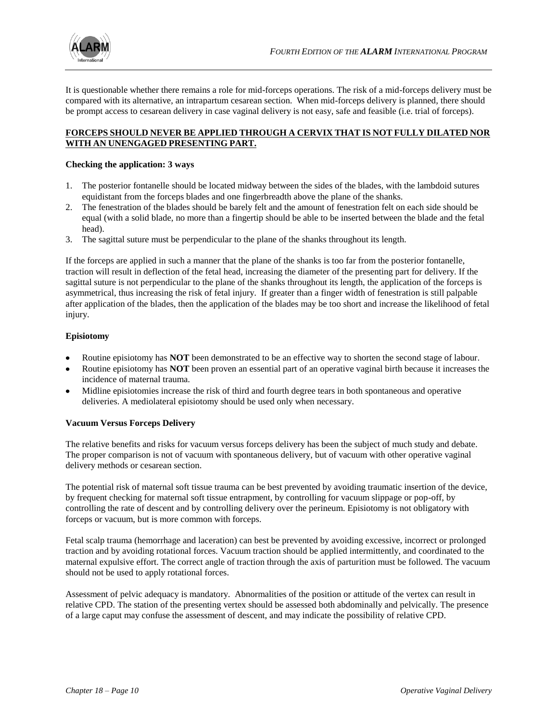

It is questionable whether there remains a role for mid-forceps operations. The risk of a mid-forceps delivery must be compared with its alternative, an intrapartum cesarean section. When mid-forceps delivery is planned, there should be prompt access to cesarean delivery in case vaginal delivery is not easy, safe and feasible (i.e. trial of forceps).

## **FORCEPS SHOULD NEVER BE APPLIED THROUGH A CERVIX THAT IS NOT FULLY DILATED NOR WITH AN UNENGAGED PRESENTING PART.**

## **Checking the application: 3 ways**

- 1. The posterior fontanelle should be located midway between the sides of the blades, with the lambdoid sutures equidistant from the forceps blades and one fingerbreadth above the plane of the shanks.
- 2. The fenestration of the blades should be barely felt and the amount of fenestration felt on each side should be equal (with a solid blade, no more than a fingertip should be able to be inserted between the blade and the fetal head).
- 3. The sagittal suture must be perpendicular to the plane of the shanks throughout its length.

If the forceps are applied in such a manner that the plane of the shanks is too far from the posterior fontanelle, traction will result in deflection of the fetal head, increasing the diameter of the presenting part for delivery. If the sagittal suture is not perpendicular to the plane of the shanks throughout its length, the application of the forceps is asymmetrical, thus increasing the risk of fetal injury. If greater than a finger width of fenestration is still palpable after application of the blades, then the application of the blades may be too short and increase the likelihood of fetal injury.

## **Episiotomy**

- Routine episiotomy has **NOT** been demonstrated to be an effective way to shorten the second stage of labour.
- Routine episiotomy has **NOT** been proven an essential part of an operative vaginal birth because it increases the incidence of maternal trauma.
- Midline episiotomies increase the risk of third and fourth degree tears in both spontaneous and operative deliveries. A mediolateral episiotomy should be used only when necessary.

## **Vacuum Versus Forceps Delivery**

The relative benefits and risks for vacuum versus forceps delivery has been the subject of much study and debate. The proper comparison is not of vacuum with spontaneous delivery, but of vacuum with other operative vaginal delivery methods or cesarean section.

The potential risk of maternal soft tissue trauma can be best prevented by avoiding traumatic insertion of the device, by frequent checking for maternal soft tissue entrapment, by controlling for vacuum slippage or pop-off, by controlling the rate of descent and by controlling delivery over the perineum. Episiotomy is not obligatory with forceps or vacuum, but is more common with forceps.

Fetal scalp trauma (hemorrhage and laceration) can best be prevented by avoiding excessive, incorrect or prolonged traction and by avoiding rotational forces. Vacuum traction should be applied intermittently, and coordinated to the maternal expulsive effort. The correct angle of traction through the axis of parturition must be followed. The vacuum should not be used to apply rotational forces.

Assessment of pelvic adequacy is mandatory. Abnormalities of the position or attitude of the vertex can result in relative CPD. The station of the presenting vertex should be assessed both abdominally and pelvically. The presence of a large caput may confuse the assessment of descent, and may indicate the possibility of relative CPD.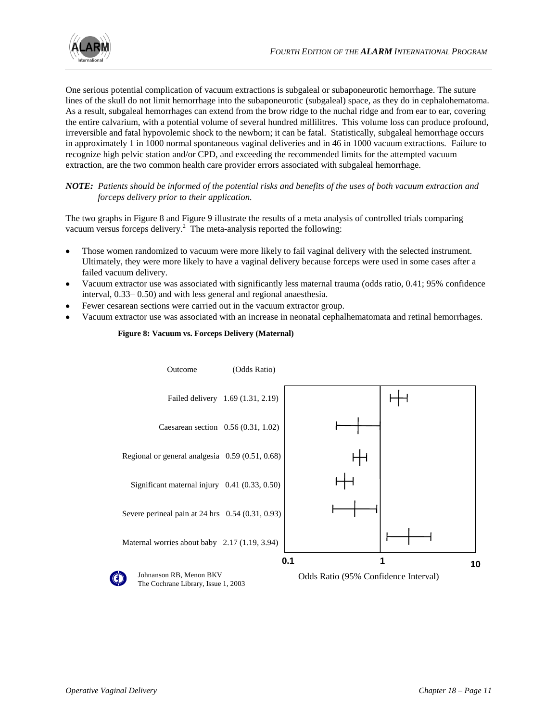

One serious potential complication of vacuum extractions is subgaleal or subaponeurotic hemorrhage. The suture lines of the skull do not limit hemorrhage into the subaponeurotic (subgaleal) space, as they do in cephalohematoma. As a result, subgaleal hemorrhages can extend from the brow ridge to the nuchal ridge and from ear to ear, covering the entire calvarium, with a potential volume of several hundred millilitres. This volume loss can produce profound, irreversible and fatal hypovolemic shock to the newborn; it can be fatal. Statistically, subgaleal hemorrhage occurs in approximately 1 in 1000 normal spontaneous vaginal deliveries and in 46 in 1000 vacuum extractions. Failure to recognize high pelvic station and/or CPD, and exceeding the recommended limits for the attempted vacuum extraction, are the two common health care provider errors associated with subgaleal hemorrhage.

## *NOTE: Patients should be informed of the potential risks and benefits of the uses of both vacuum extraction and forceps delivery prior to their application.*

The two graphs in Figure 8 and Figure 9 illustrate the results of a meta analysis of controlled trials comparing vacuum versus forceps delivery.<sup>2</sup> The meta-analysis reported the following:

- Those women randomized to vacuum were more likely to fail vaginal delivery with the selected instrument.  $\bullet$ Ultimately, they were more likely to have a vaginal delivery because forceps were used in some cases after a failed vacuum delivery.
- Vacuum extractor use was associated with significantly less maternal trauma (odds ratio, 0.41; 95% confidence interval, 0.33– 0.50) and with less general and regional anaesthesia.
- Fewer cesarean sections were carried out in the vacuum extractor group.
- Vacuum extractor use was associated with an increase in neonatal cephalhematomata and retinal hemorrhages.



#### **Figure 8: Vacuum vs. Forceps Delivery (Maternal)**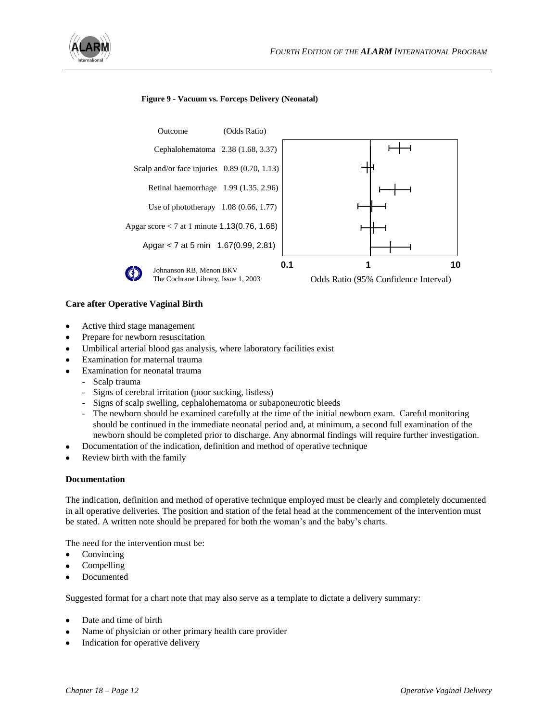

#### **Figure 9 - Vacuum vs. Forceps Delivery (Neonatal)**



#### **Care after Operative Vaginal Birth**

- Active third stage management
- Prepare for newborn resuscitation
- Umbilical arterial blood gas analysis, where laboratory facilities exist
- Examination for maternal trauma
- Examination for neonatal trauma
	- Scalp trauma
	- Signs of cerebral irritation (poor sucking, listless)
	- Signs of scalp swelling, cephalohematoma or subaponeurotic bleeds
	- The newborn should be examined carefully at the time of the initial newborn exam. Careful monitoring should be continued in the immediate neonatal period and, at minimum, a second full examination of the newborn should be completed prior to discharge. Any abnormal findings will require further investigation.
	- Documentation of the indication, definition and method of operative technique
- Review birth with the family

#### **Documentation**

The indication, definition and method of operative technique employed must be clearly and completely documented in all operative deliveries. The position and station of the fetal head at the commencement of the intervention must be stated. A written note should be prepared for both the woman's and the baby's charts.

The need for the intervention must be:

- Convincing  $\bullet$
- Compelling
- Documented

Suggested format for a chart note that may also serve as a template to dictate a delivery summary:

- Date and time of birth
- Name of physician or other primary health care provider
- Indication for operative delivery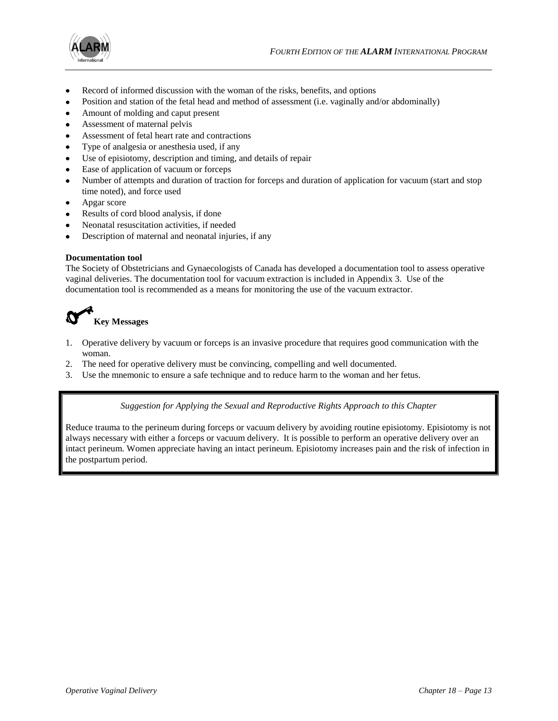



- Record of informed discussion with the woman of the risks, benefits, and options
- Position and station of the fetal head and method of assessment (i.e. vaginally and/or abdominally)
- Amount of molding and caput present
- Assessment of maternal pelvis
- Assessment of fetal heart rate and contractions
- Type of analgesia or anesthesia used, if any
- Use of episiotomy, description and timing, and details of repair  $\bullet$
- Ease of application of vacuum or forceps  $\bullet$
- Number of attempts and duration of traction for forceps and duration of application for vacuum (start and stop time noted), and force used
- Apgar score
- Results of cord blood analysis, if done
- Neonatal resuscitation activities, if needed
- Description of maternal and neonatal injuries, if any  $\bullet$

#### **Documentation tool**

The Society of Obstetricians and Gynaecologists of Canada has developed a documentation tool to assess operative vaginal deliveries. The documentation tool for vacuum extraction is included in Appendix 3. Use of the documentation tool is recommended as a means for monitoring the use of the vacuum extractor.



- 1. Operative delivery by vacuum or forceps is an invasive procedure that requires good communication with the woman.
- 2. The need for operative delivery must be convincing, compelling and well documented.
- 3. Use the mnemonic to ensure a safe technique and to reduce harm to the woman and her fetus.

*Suggestion for Applying the Sexual and Reproductive Rights Approach to this Chapter*

Reduce trauma to the perineum during forceps or vacuum delivery by avoiding routine episiotomy. Episiotomy is not always necessary with either a forceps or vacuum delivery. It is possible to perform an operative delivery over an intact perineum. Women appreciate having an intact perineum. Episiotomy increases pain and the risk of infection in the postpartum period.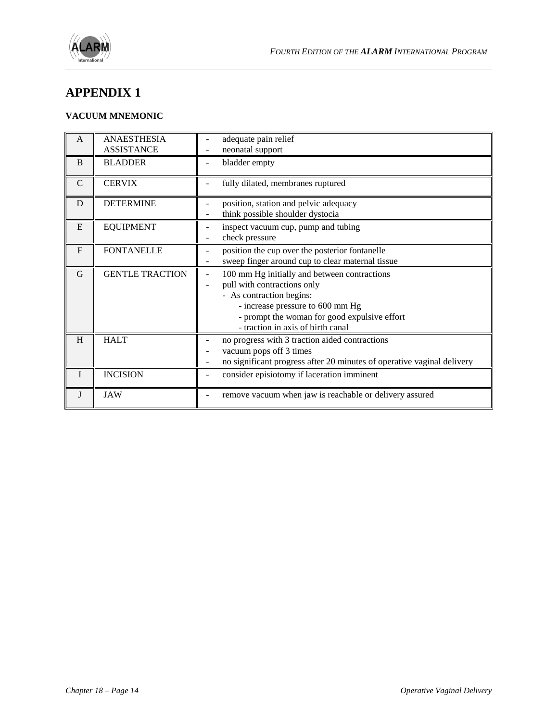

## **APPENDIX 1**

## **VACUUM MNEMONIC**

| A            | <b>ANAESTHESIA</b><br><b>ASSISTANCE</b> | adequate pain relief<br>neonatal support                                                                                                                                                                                         |
|--------------|-----------------------------------------|----------------------------------------------------------------------------------------------------------------------------------------------------------------------------------------------------------------------------------|
| B            | <b>BLADDER</b>                          | bladder empty                                                                                                                                                                                                                    |
| $\mathsf{C}$ | <b>CERVIX</b>                           | fully dilated, membranes ruptured                                                                                                                                                                                                |
| D            | <b>DETERMINE</b>                        | position, station and pelvic adequacy<br>think possible shoulder dystocia                                                                                                                                                        |
| E            | <b>EQUIPMENT</b>                        | inspect vacuum cup, pump and tubing<br>check pressure                                                                                                                                                                            |
| $\mathbf{F}$ | <b>FONTANELLE</b>                       | position the cup over the posterior fontanelle<br>sweep finger around cup to clear maternal tissue                                                                                                                               |
| G            | <b>GENTLE TRACTION</b>                  | 100 mm Hg initially and between contractions<br>pull with contractions only<br>- As contraction begins:<br>- increase pressure to 600 mm Hg<br>- prompt the woman for good expulsive effort<br>- traction in axis of birth canal |
| H            | <b>HALT</b>                             | no progress with 3 traction aided contractions<br>vacuum pops off 3 times<br>no significant progress after 20 minutes of operative vaginal delivery                                                                              |
| $\mathbf{I}$ | <b>INCISION</b>                         | consider episiotomy if laceration imminent                                                                                                                                                                                       |
| J            | <b>JAW</b>                              | remove vacuum when jaw is reachable or delivery assured                                                                                                                                                                          |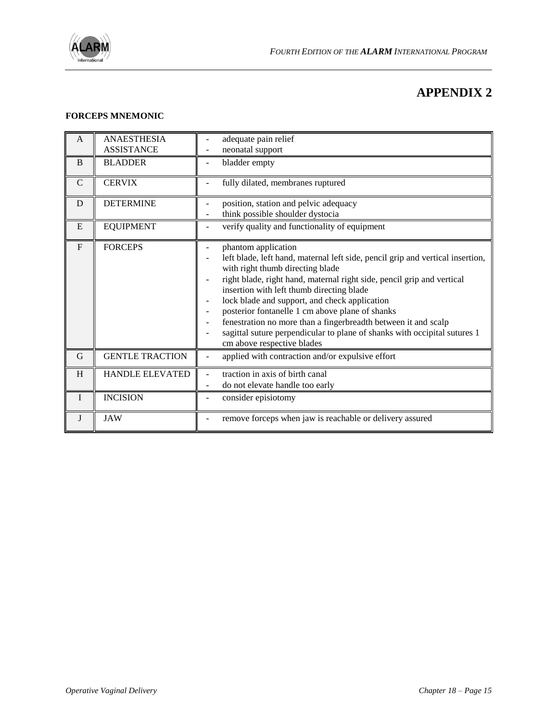

# **APPENDIX 2**

## **FORCEPS MNEMONIC**

| A            | <b>ANAESTHESIA</b><br><b>ASSISTANCE</b> | adequate pain relief<br>neonatal support                                                                                                                                                                                                                                                                                                                                                                                                                                                                                                          |
|--------------|-----------------------------------------|---------------------------------------------------------------------------------------------------------------------------------------------------------------------------------------------------------------------------------------------------------------------------------------------------------------------------------------------------------------------------------------------------------------------------------------------------------------------------------------------------------------------------------------------------|
| B            | <b>BLADDER</b>                          | bladder empty                                                                                                                                                                                                                                                                                                                                                                                                                                                                                                                                     |
| $\mathsf{C}$ | <b>CERVIX</b>                           | fully dilated, membranes ruptured                                                                                                                                                                                                                                                                                                                                                                                                                                                                                                                 |
| D            | <b>DETERMINE</b>                        | position, station and pelvic adequacy<br>think possible shoulder dystocia                                                                                                                                                                                                                                                                                                                                                                                                                                                                         |
| E            | <b>EQUIPMENT</b>                        | verify quality and functionality of equipment                                                                                                                                                                                                                                                                                                                                                                                                                                                                                                     |
| $\mathbf{F}$ | <b>FORCEPS</b>                          | phantom application<br>left blade, left hand, maternal left side, pencil grip and vertical insertion,<br>with right thumb directing blade<br>right blade, right hand, maternal right side, pencil grip and vertical<br>insertion with left thumb directing blade<br>lock blade and support, and check application<br>posterior fontanelle 1 cm above plane of shanks<br>fenestration no more than a fingerbreadth between it and scalp<br>sagittal suture perpendicular to plane of shanks with occipital sutures 1<br>cm above respective blades |
| G            | <b>GENTLE TRACTION</b>                  | applied with contraction and/or expulsive effort                                                                                                                                                                                                                                                                                                                                                                                                                                                                                                  |
| H            | <b>HANDLE ELEVATED</b>                  | traction in axis of birth canal<br>do not elevate handle too early                                                                                                                                                                                                                                                                                                                                                                                                                                                                                |
| $\mathbf I$  | <b>INCISION</b>                         | consider episiotomy                                                                                                                                                                                                                                                                                                                                                                                                                                                                                                                               |
| J            | <b>JAW</b>                              | remove forceps when jaw is reachable or delivery assured                                                                                                                                                                                                                                                                                                                                                                                                                                                                                          |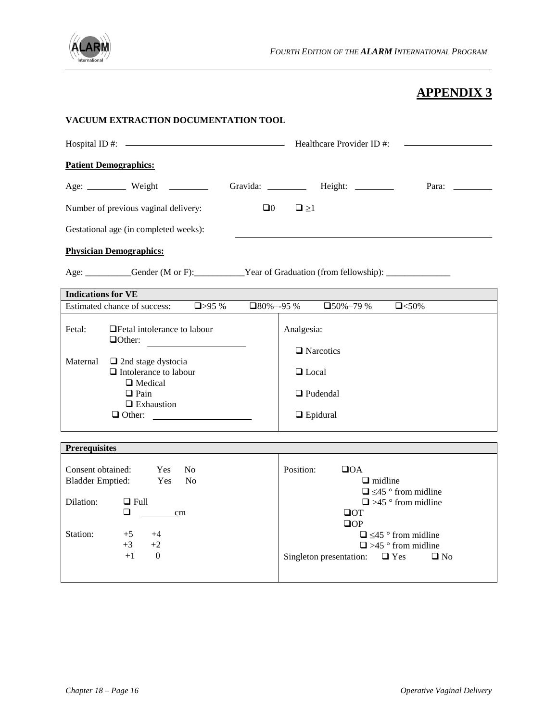

# **APPENDIX 3**

| VACUUM EXTRACTION DOCUMENTATION TOOL                                                                                                                                                                                                                                                                         |                                                                                                                                                                                                                                                   |  |  |  |  |
|--------------------------------------------------------------------------------------------------------------------------------------------------------------------------------------------------------------------------------------------------------------------------------------------------------------|---------------------------------------------------------------------------------------------------------------------------------------------------------------------------------------------------------------------------------------------------|--|--|--|--|
|                                                                                                                                                                                                                                                                                                              |                                                                                                                                                                                                                                                   |  |  |  |  |
| <b>Patient Demographics:</b>                                                                                                                                                                                                                                                                                 |                                                                                                                                                                                                                                                   |  |  |  |  |
|                                                                                                                                                                                                                                                                                                              | Gravida: __________ Height: _______<br>Para:                                                                                                                                                                                                      |  |  |  |  |
| Number of previous vaginal delivery:<br>$\square 0$<br>$\Box \ge 1$                                                                                                                                                                                                                                          |                                                                                                                                                                                                                                                   |  |  |  |  |
| Gestational age (in completed weeks):                                                                                                                                                                                                                                                                        |                                                                                                                                                                                                                                                   |  |  |  |  |
| <b>Physician Demographics:</b>                                                                                                                                                                                                                                                                               |                                                                                                                                                                                                                                                   |  |  |  |  |
| Age: __________Gender (M or F): __________Year of Graduation (from fellowship): ___________________                                                                                                                                                                                                          |                                                                                                                                                                                                                                                   |  |  |  |  |
| <b>Indications for VE</b>                                                                                                                                                                                                                                                                                    |                                                                                                                                                                                                                                                   |  |  |  |  |
| Estimated chance of success:<br>$\Box$ >95 %<br>$\square$ 80%--95 %                                                                                                                                                                                                                                          | $\square$ 50%-79 %<br>$Q < 50\%$                                                                                                                                                                                                                  |  |  |  |  |
| □ Fetal intolerance to labour<br>Fetal:<br>$\Box$ Other:<br>Maternal<br>$\Box$ 2nd stage dystocia<br>$\Box$ Intolerance to labour<br>$\Box$ Medical<br>$\Box$ Pain<br>$\Box$ Exhaustion<br>$\begin{tabular}{ c c } \hline \textbf{O} \hspace{0.2cm} \textbf{O} \hspace{0.2cm} \textbf{there:} \end{tabular}$ | Analgesia:<br>$\Box$ Narcotics<br>$\Box$ Local<br>$\Box$ Pudendal<br>$\Box$ Epidural                                                                                                                                                              |  |  |  |  |
| <b>Prerequisites</b>                                                                                                                                                                                                                                                                                         |                                                                                                                                                                                                                                                   |  |  |  |  |
| Consent obtained:<br><b>Yes</b><br>N <sub>0</sub><br><b>Bladder Emptied:</b><br>Yes<br>N <sub>0</sub><br>Dilation:<br>$\Box$ Full<br>$\frac{1}{2}$<br>❏<br>cm<br>Station:<br>$+5$<br>$+4$<br>$+3$<br>$+2$<br>$+1$<br>$\hspace{0.6cm} 0$                                                                      | Position:<br>$\Box$ OA<br>$\Box$ midline<br>$\Box \leq 45$ ° from midline<br>$\Box$ >45 ° from midline<br>$\Box$ OT<br>$\Box$ OP<br>$\Box \leq 45$ ° from midline<br>$\Box$ >45 ° from midline<br>Singleton presentation: $\Box$ Yes<br>$\Box$ No |  |  |  |  |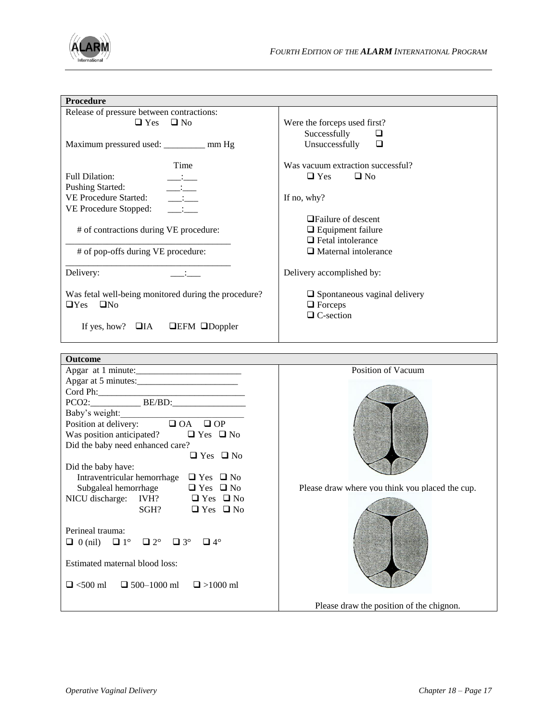

| <b>Procedure</b>                                                   |                                                 |
|--------------------------------------------------------------------|-------------------------------------------------|
|                                                                    |                                                 |
| Release of pressure between contractions:                          |                                                 |
| $\Box$ Yes<br>$\Box$ No                                            | Were the forceps used first?                    |
|                                                                    | Successfully<br>$\Box$                          |
| Maximum pressured used: ________ mm Hg                             | Unsuccessfully<br>$\Box$                        |
|                                                                    |                                                 |
| Time                                                               | Was vacuum extraction successful?               |
| <b>Full Dilation:</b>                                              | $\square$ No<br>$\Box$ Yes                      |
| <b>Pushing Started:</b><br>$\overline{\phantom{iiiiiiii}}$         |                                                 |
| VE Procedure Started:<br>$\overline{\phantom{a}}$                  | If no, why?                                     |
| VE Procedure Stopped:<br>$\mathcal{L}^{\text{max}}$                |                                                 |
|                                                                    | $\Box$ Failure of descent                       |
| # of contractions during VE procedure:                             | $\Box$ Equipment failure                        |
|                                                                    | $\Box$ Fetal intolerance                        |
|                                                                    |                                                 |
| # of pop-offs during VE procedure:                                 | $\Box$ Maternal intolerance                     |
|                                                                    |                                                 |
| Delivery:                                                          | Delivery accomplished by:                       |
|                                                                    |                                                 |
| Was fetal well-being monitored during the procedure?               | $\Box$ Spontaneous vaginal delivery             |
| $\Box$ Yes $\Box$ No                                               | $\Box$ Forceps                                  |
|                                                                    | $\Box$ C-section                                |
| If yes, how? $\Box$ IA $\Box$ EFM $\Box$ Doppler                   |                                                 |
|                                                                    |                                                 |
|                                                                    |                                                 |
|                                                                    |                                                 |
|                                                                    |                                                 |
| <b>Outcome</b>                                                     |                                                 |
|                                                                    | Position of Vacuum                              |
| Apgar at 5 minutes:                                                |                                                 |
|                                                                    |                                                 |
|                                                                    |                                                 |
|                                                                    |                                                 |
| Baby's weight:<br>Position at delivery: $\Box$ OA $\Box$ OP        |                                                 |
| Was position anticipated? $\Box$ Yes $\Box$ No                     |                                                 |
| Did the baby need enhanced care?                                   |                                                 |
| $\Box$ Yes $\Box$ No                                               |                                                 |
| Did the baby have:                                                 |                                                 |
| Intraventricular hemorrhage $\Box$ Yes $\Box$ No                   |                                                 |
|                                                                    |                                                 |
| Subgaleal hemorrhage<br>$\Box$ Yes $\Box$ No                       | Please draw where you think you placed the cup. |
| NICU discharge: IVH? $\Box$ Yes $\Box$ No                          |                                                 |
| SGH?<br>$\Box$ Yes $\Box$ No                                       |                                                 |
|                                                                    |                                                 |
| Perineal trauma:                                                   |                                                 |
| $\Box$ 0 (nil) $\Box$ 1°<br>$\Box$ 2°<br>$\Box$ 4°<br>$\square$ 3° |                                                 |
|                                                                    |                                                 |
| Estimated maternal blood loss:                                     |                                                 |
|                                                                    |                                                 |
| $\Box$ <500 ml<br>$\Box$ 500-1000 ml<br>$\Box$ >1000 ml            |                                                 |
|                                                                    |                                                 |